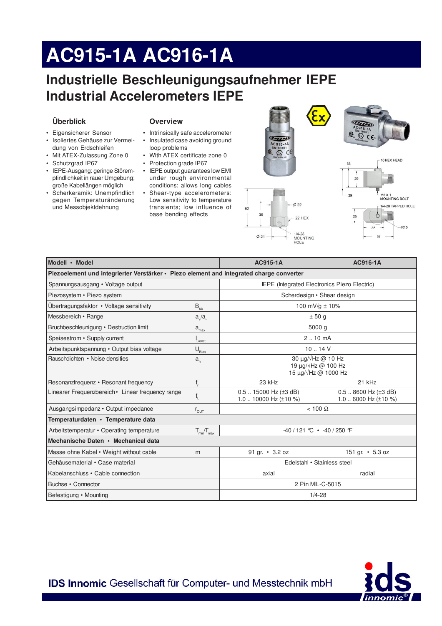# AC915-1A AC916-1A

### Industrielle Beschleunigungsaufnehmer IEPE **Industrial Accelerometers IEPE**

### Überblick

- Eigensicherer Sensor
- · Isoliertes Gehäuse zur Vermeidung von Erdschleifen
- Mit ATEX-Zulassung Zone 0
- · Schutzgrad IP67
- · IEPE-Ausgang: geringe Störempfindlichkeit in rauer Umgebung; große Kabellängen möglich
- · Scherkeramik: Unempfindlich gegen Temperaturänderung und Messobjektdehnung

#### **Overview**

- Intrinsically safe accelerometer
- Insulated case avoiding ground
- loop problems • With ATEX certificate zone 0
- Protection grade IP67
- IEPE output guarantees low EMI under rough environmental conditions; allows long cables
- Shear-type accelerometers: Low sensitivity to temperature transients; low influence of base bending effects





35

52

| Modell • Model                                                                           |                                 | AC915-1A                                                    | AC916-1A                                                  |  |
|------------------------------------------------------------------------------------------|---------------------------------|-------------------------------------------------------------|-----------------------------------------------------------|--|
|                                                                                          |                                 |                                                             |                                                           |  |
| Piezoelement und integrierter Verstärker · Piezo element and integrated charge converter |                                 |                                                             |                                                           |  |
| Spannungsausgang • Voltage output                                                        |                                 | <b>IEPE</b> (Integrated Electronics Piezo Electric)         |                                                           |  |
| Piezosystem · Piezo system                                                               |                                 | Scherdesign • Shear design                                  |                                                           |  |
| Übertragungsfaktor • Voltage sensitivity                                                 | $\mathsf{B}_{\rm{ua}}$          | 100 mV/g $\pm$ 10%                                          |                                                           |  |
| Messbereich • Range                                                                      | a/a                             | ± 50 g                                                      |                                                           |  |
| Bruchbeschleunigung • Destruction limit                                                  | $a_{\underline{max}}$           | 5000 g                                                      |                                                           |  |
| Speisestrom • Supply current                                                             | Const                           | $2.10 \text{ mA}$                                           |                                                           |  |
| Arbeitspunktspannung • Output bias voltage                                               | $U_{\underline{\text{Bias}}}$   | 10.14V                                                      |                                                           |  |
| Rauschdichten • Noise densities                                                          | $a_{n}$                         | 30 $\mu$ g/ $\sqrt{Hz}$ @ 10 Hz<br>19 µg/√Hz @ 100 Hz       |                                                           |  |
|                                                                                          |                                 |                                                             | 15 µg/√Hz @ 1000 Hz                                       |  |
| Resonanzfrequenz · Resonant frequency                                                    | $f_r$                           | 23 kHz                                                      | 21 kHz                                                    |  |
| Linearer Frequenzbereich • Linear frequency range                                        | $\mathsf{f}_{\mathsf{L}}$       | $0.5$ 15000 Hz ( $\pm 3$ dB)<br>1.0  10000 Hz ( $\pm$ 10 %) | $0.5$ 8600 Hz ( $\pm$ 3 dB)<br>1.0  6000 Hz ( $\pm$ 10 %) |  |
| Ausgangsimpedanz • Output impedance                                                      | $r_{\text{OUT}}$                | $< 100 \Omega$                                              |                                                           |  |
| Temperaturdaten · Temperature data                                                       |                                 |                                                             |                                                           |  |
| Arbeitstemperatur • Operating temperature                                                | $T_{\text{min}}/T_{\text{max}}$ | $-40/121$ °C $\cdot$ -40/250 °F                             |                                                           |  |
| Mechanische Daten • Mechanical data                                                      |                                 |                                                             |                                                           |  |
| Masse ohne Kabel • Weight without cable                                                  | m                               | 91 gr. • 3.2 oz                                             | 151 gr. • 5.3 oz                                          |  |
| Gehäusematerial • Case material                                                          |                                 | Edelstahl • Stainless steel                                 |                                                           |  |
| Kabelanschluss • Cable connection                                                        |                                 | axial                                                       | radial                                                    |  |
| Buchse • Connector                                                                       |                                 | 2 Pin MIL-C-5015                                            |                                                           |  |
| Befestigung • Mounting                                                                   |                                 | $1/4 - 28$                                                  |                                                           |  |